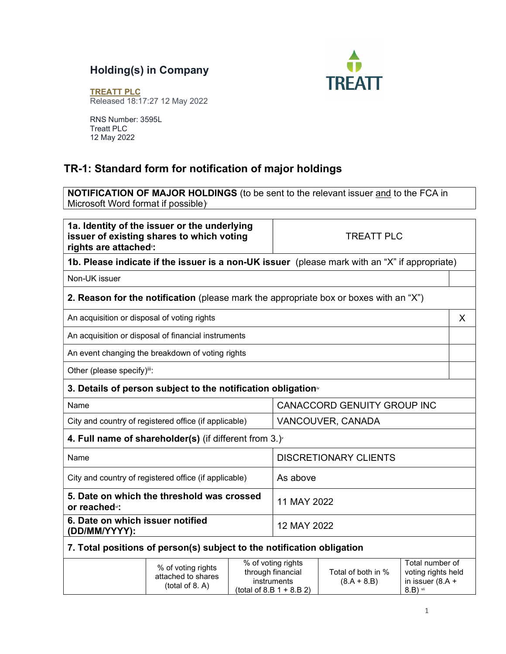## Holding(s) in Company



TREATT PLC Released 18:17:27 12 May 2022

RNS Number: 3595L Treatt PLC 12 May 2022

## TR-1: Standard form for notification of major holdings

NOTIFICATION OF MAJOR HOLDINGS (to be sent to the relevant issuer and to the FCA in Microsoft Word format if possible) i

1a. Identity of the issuer or the underlying issuer of existing shares to which voting rights are attached<sup>®</sup>: TREATT PLC **1b. Please indicate if the issuer is a non-UK issuer** (please mark with an "X" if appropriate) Non-UK issuer **2. Reason for the notification** (please mark the appropriate box or boxes with an "X") An acquisition or disposal of voting rights X An acquisition or disposal of financial instruments An event changing the breakdown of voting rights Other (please specify)iii: 3. Details of person subject to the notification obligation $\sqrt[n]{}$ Name CANACCORD GENUITY GROUP INC City and country of registered office (if applicable) VANCOUVER, CANADA 4. Full name of shareholder(s) (if different from  $3.$ ) Name DISCRETIONARY CLIENTS City and country of registered office (if applicable)  $\blacksquare$  As above 5. Date on which the threshold was crossed or reachedvi: 11 MAY 2022 6. Date on which issuer notified (DD/MM/YYYY): 12 MAY 2022 7. Total positions of person(s) subject to the notification obligation % of voting rights attached to shares (total of 8. A) % of voting rights through financial instruments Total of both in %  $(8.A + 8.B)$ Total number of voting rights held in issuer (8.A +

(total of 8.B 1 + 8.B 2)

8.B) vii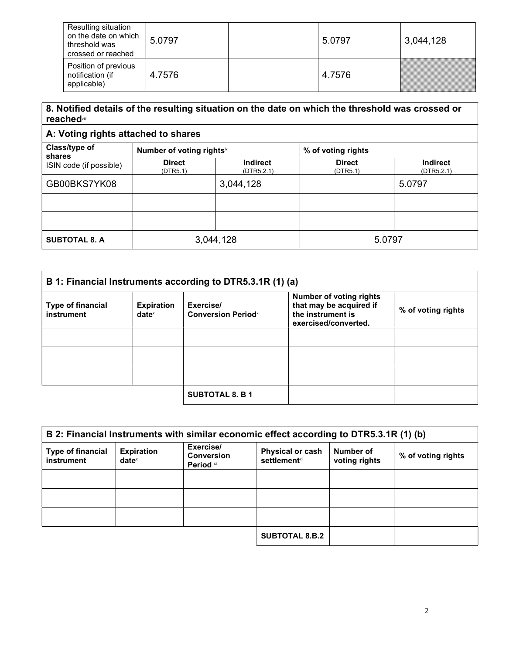| Resulting situation<br>on the date on which<br>threshold was<br>crossed or reached | 5.0797 | 5.0797 | 3,044,128 |
|------------------------------------------------------------------------------------|--------|--------|-----------|
| Position of previous<br>notification (if<br>applicable)                            | 4.7576 | 4.7576 |           |

## 8. Notified details of the resulting situation on the date on which the threshold was crossed or reachedviii

## A: Voting rights attached to shares

| Class/type of<br>shares<br>ISIN code (if possible) | Number of voting rights <sup>ix</sup> |                               | % of voting rights        |                               |
|----------------------------------------------------|---------------------------------------|-------------------------------|---------------------------|-------------------------------|
|                                                    | <b>Direct</b><br>(DTR5.1)             | <b>Indirect</b><br>(DTR5.2.1) | <b>Direct</b><br>(DTR5.1) | <b>Indirect</b><br>(DTR5.2.1) |
| GB00BKS7YK08                                       |                                       | 3,044,128                     |                           | 5.0797                        |
|                                                    |                                       |                               |                           |                               |
|                                                    |                                       |                               |                           |                               |
| <b>SUBTOTAL 8. A</b>                               |                                       | 3,044,128                     | 5.0797                    |                               |

| B 1: Financial Instruments according to DTR5.3.1R (1) (a) |                                      |                                         |                                                                                                        |                    |
|-----------------------------------------------------------|--------------------------------------|-----------------------------------------|--------------------------------------------------------------------------------------------------------|--------------------|
| <b>Type of financial</b><br><b>instrument</b>             | <b>Expiration</b><br>$date^{\times}$ | Exercise/<br><b>Conversion Periodxi</b> | <b>Number of voting rights</b><br>that may be acquired if<br>the instrument is<br>exercised/converted. | % of voting rights |
|                                                           |                                      |                                         |                                                                                                        |                    |
|                                                           |                                      |                                         |                                                                                                        |                    |
|                                                           |                                      |                                         |                                                                                                        |                    |
|                                                           |                                      | <b>SUBTOTAL 8. B 1</b>                  |                                                                                                        |                    |

| B 2: Financial Instruments with similar economic effect according to DTR5.3.1R (1) (b) |                                      |                                             |                                                  |                            |                    |
|----------------------------------------------------------------------------------------|--------------------------------------|---------------------------------------------|--------------------------------------------------|----------------------------|--------------------|
| <b>Type of financial</b><br>instrument                                                 | <b>Expiration</b><br>$date^{\times}$ | Exercise/<br><b>Conversion</b><br>Period xi | <b>Physical or cash</b><br><b>settlement</b> xii | Number of<br>voting rights | % of voting rights |
|                                                                                        |                                      |                                             |                                                  |                            |                    |
|                                                                                        |                                      |                                             |                                                  |                            |                    |
|                                                                                        |                                      |                                             |                                                  |                            |                    |
|                                                                                        |                                      |                                             | <b>SUBTOTAL 8.B.2</b>                            |                            |                    |